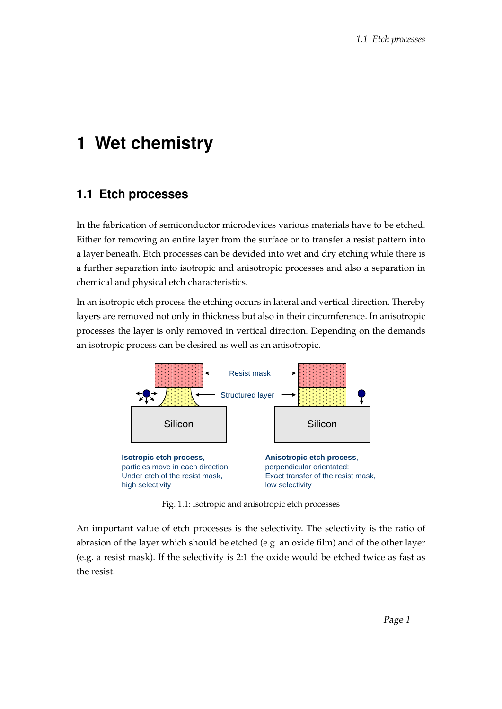## **1 Wet chemistry**

## **1.1 Etch processes**

In the fabrication of semiconductor microdevices various materials have to be etched. Either for removing an entire layer from the surface or to transfer a resist pattern into a layer beneath. Etch processes can be devided into wet and dry etching while there is a further separation into isotropic and anisotropic processes and also a separation in chemical and physical etch characteristics.

In an isotropic etch process the etching occurs in lateral and vertical direction. Thereby layers are removed not only in thickness but also in their circumference. In anisotropic processes the layer is only removed in vertical direction. Depending on the demands an isotropic process can be desired as well as an anisotropic.



Fig. 1.1: Isotropic and anisotropic etch processes

An important value of etch processes is the selectivity. The selectivity is the ratio of abrasion of the layer which should be etched (e.g. an oxide film) and of the other layer (e.g. a resist mask). If the selectivity is 2:1 the oxide would be etched twice as fast as the resist.